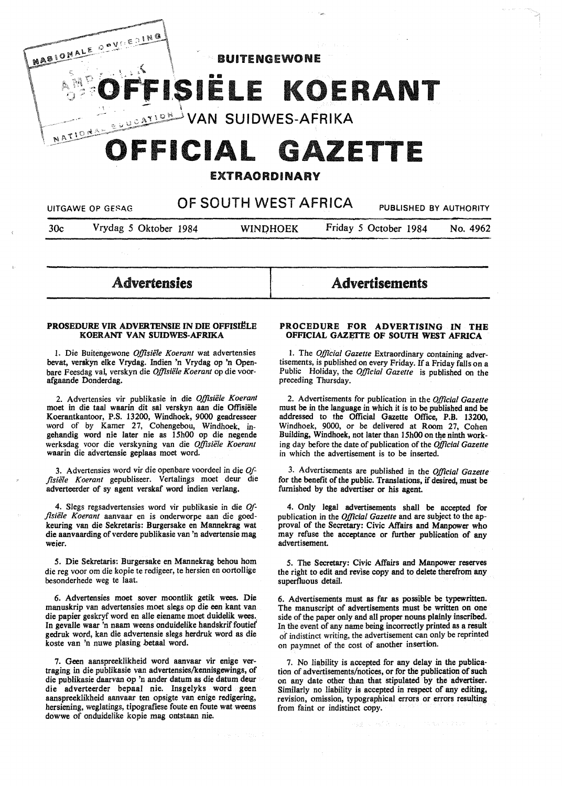

# EXTRAORDINARY

| UITGAWE OP GESAG |                       | OF SOUTH WEST AFRICA |                 | PUBLISHED BY AUTHORITY |          |
|------------------|-----------------------|----------------------|-----------------|------------------------|----------|
| 30c              | Vrydag 5 Oktober 1984 |                      | <b>WINDHOEK</b> | Friday 5 October 1984  | No. 4962 |
|                  |                       |                      |                 |                        |          |

Advertensies

#### PROSEDURE VIR ADVERTENSIE IN DIE OFFISIËLE KOERANT **VAN SUIDWES-AFRIKA**

I. Die Buitengewone *Offisie1e Koerant* wat advertensies bevat, verskyn elke Vrydag. Indien 'n Vrydag op 'n Openbare Feesdag val, verskyn die *Offisiële Koerant* op die voorafgaande Donderdag.

2. Advertensies vir publikasie in die Offisiële Koerant moet in die taaJ waarin dit sal verskyn aan die Offisiele Koerantkantoor, P.S. 13200, Windhoek, 9000 geadresseer word of by Kamer 27, Cohengebou, Windhoek, ingehandig word nie later nie as 15h00 op die negende werksdag voor die verskyning van die Offisiële Koerant waarin die advertensie geplaas moet word.

3. Advertensies word vir die openbare voordeel in die  $Qf$ fisiële Koerant gepubliseer. Vertalings moet deur die adverteerder of sy agent verskaf word indien verlang.

4. Slegs regsadvertensies word vir publikasie in die Of*fisii!le Koerant* aanvaar en is onderworpe aan die goedkeuring van die Sekretaris: Burgersake en Mannekrag wat die aanvaarding of verdere publikasie van 'n advertensie mag weier.

*5.* Die Sekretaris: Burgersake en Mannekrag behou horn die reg voor om die kopie te redigeer, te hersien en oortollige besonderhede weg te laat.

6. Advertensies moet sover moontlik getik wees. Die manuskrip van advertensies moet slegs op die een kant van die papier geskryf word en alle eiename moet duidelik wees. In gevalle waar 'n naam weens onduidelike handskrif foutief gedruk word, kan die advertensie slegs herdruk word as die koste van 'n nuwe plasing hetaal word.

7. Geen aanspreeklikheid word aanvaar vir enige vertraging in die publikasie van advertensies/kennisgewings, of die publikasie daarvan op 'n ander datum as die datum deur die adverteerder bepaal nie. Insgelyks word geen aanspreeklikheid aanvaar ten opsigte van enige redigering, hersiening, weglatings, tipografiese foute en foute wat weens dowwe of onduidelike kopie mag ontstaan nie.

# **PROCEDURE FOR ADVERTISING IN THE OFFICIAL GAZEITE OF SOUTH WEST AFRICA**

**Advertisements** 

I. The *Official Gazette* Extraordinary containing advertisements, is published on every Friday. If a Friday falls on a Public Holiday, the *Official Gazette* is published on the preceding Thursday.

2. Advertisements for publication in the *Official Gazette*  must be in the language in which it is to be published and be addressed to the Official Gazette Office, P.B. 13200, Windhoek, 9000, or be delivered at Room 27, Cohen Building, Windhoek, not later than 15h00 on the ninth working day before the date of publication of the *Official Gazette*  in which the advertisement is to be inserted.

3. Advertisements are published in the *Official Gazette*  for the benefit of the public. Translations, if desired, must be furnished by the advertiser or his agent.

4. Only legal advertisements shall be accepted for publication in the *Official Gazette* and are subject to the approval of the Secretary: Civic Affairs and Manpower who may refuse the acceptance or further publication of any advertisement.

*5.* The Secretary: Civic Affairs and Manpower reserves the right to edit and revise copy and to delete therefrom any superfluous detail.

6. Advertisements must as far as possible be typewritten. The manuscript of advertisements must be written on one side of the paper only and all proper nouns plainly inscribed. In the event of any name being incorrectly printed as a result of indistinct writing, the advertisement can only be reprinted on paymnet of the cost of another insertion.

7. No liability is accepted for any delay in the publication of advertisements/notices, or for the publication of such on any date other than that stipulated by the advertiser. Similarly no liability is accepted in respect of any editing, revision, omission, typographical errors or errors resulting from faint or indistinct copy.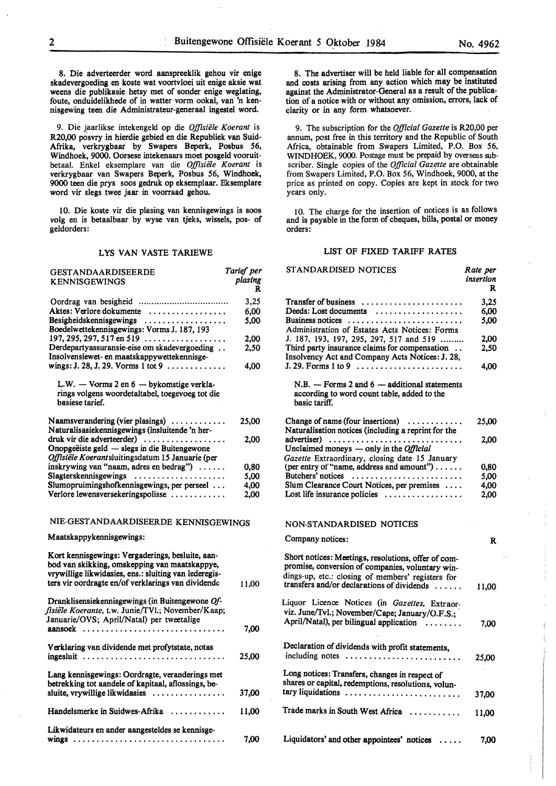8. Die adverteerder word aanspreeklik gehou vir enige skadevergoeding en koste wat voortvloei uit enige aksie wat weens die publikasie hetsy met of sonder enige weglating, foute, onduidelikhede of in watter vorm ookal, van 'n ken-

9. Die jaarlikse intekengeld op die *Offisiele Koerant* is R20,00 posvry in hierdie gebied en die Republiek van Suid-Afrika, verkrygbaar by Swapers Beperk, Posbus 56, Windhoek, 9000. Oorsese intekenaars moet posgeld vooruitbetaal. Enke! eksemplare van die *Offisie1e Koerant* is verkrygbaar van Swapers Beperk, Posbus 56, Windhoek, 9000 teen die prys soos gedruk op eksemplaar. Eksemplare word vir slegs twee jaar in voorraad gehou.

nisgewing teen die Administrateur-generaal ingestel word.

10. Die koste vir die plasing van kennisgewings is soos volg en is betaalbaar by wyse van tjeks, wissels, pos- of geldorders:

# LYS VAN V ASTE T ARIEWE

| <b>GESTANDAARDISEERDE</b>                                                                                                                                                                                        | Tarief per   |
|------------------------------------------------------------------------------------------------------------------------------------------------------------------------------------------------------------------|--------------|
| <b>KENNISGEWINGS</b>                                                                                                                                                                                             | plasing<br>R |
|                                                                                                                                                                                                                  | 3,25         |
| Aktes: Verlore dokumente                                                                                                                                                                                         | 6.00         |
| Besigheidskennisgewings<br>Boedelwettekennisgewings: Vorms J. 187, 193                                                                                                                                           | 5,00         |
| 197, 295, 297, 517 en 519 $\ldots$                                                                                                                                                                               | 2,00         |
| Derdepartyassuransie-eise om skadevergoeding<br>Insolvensiewet- en maatskappywettekennisge-                                                                                                                      | 2,50         |
| wings: J. 28, J. 29. Vorms 1 tot 9                                                                                                                                                                               | 4,00         |
| L.W. - Vorms 2 en 6 - bykomstige verkla-<br>rings volgens woordetaltabel, toegevoeg tot die<br>basiese tarief.                                                                                                   |              |
| Naamsverandering (vier plasings)<br>Naturalisasiekennisgewings (insluitende 'n her-                                                                                                                              | 25,00        |
| druk vir die adverteerder)<br>Onopgeëiste geld — slegs in die Buitengewone<br>Offisiële Koerantsluitingsdatum 15 Januarie (per                                                                                   | 2,00         |
| inskrywing van "naam, adres en bedrag")                                                                                                                                                                          | 0,80         |
| Slagterskennisgewings                                                                                                                                                                                            | 5.00         |
| Slumopruimingshofkennisgewings, per perseel                                                                                                                                                                      | 4,00         |
| Verlore lewensversekeringspolisse                                                                                                                                                                                | 2.00         |
| NIE-GESTANDAARDISEERDE KENNISGEWINGS                                                                                                                                                                             |              |
| Maatskappykennisgewings:                                                                                                                                                                                         |              |
| Kort kennisgewings: Vergaderings, besluite, aan-<br>bod van skikking, omskepping van maatskappye,<br>vrywillige likwidasies, ens.: sluiting van lederegis-<br>ters vir oordragte en/of verklarings van dividende | 11,00        |
| Dranklisensiekennisgewings (in Buitengewone Of-<br>fisiële Koerante, t.w. Junie/TVl.; November/Kaap;<br>Januarie/OVS; April/Natal) per tweetalige                                                                |              |
| aansoek                                                                                                                                                                                                          | 7,00         |
| Verklaring van dividende met profytstate, notas<br>ingesluit                                                                                                                                                     | 25,00        |
| Lang kennisgewings: Oordragte, veranderings met<br>betrekking tot aandele of kapitaal, aflossings, be-<br>sluite, vrywillige likwidasies                                                                         | 37,00        |
| Handelsmerke in Suidwes-Afrika                                                                                                                                                                                   | 11,00        |
| Likwidateurs en ander aangesteldes se kennisge-<br>$wings$                                                                                                                                                       | 7.00         |

8. The advertiser will be held liable for all compensation and costs arising from any action which may be instituted against the Administrator-General as a result of the publication of a notice with or without any omission, errors, lack of clarity or in any form whatsoever.

9. The subscription for the *Official Gazette* is R20,00 per annum, post free in this territory and the Republic of South Africa, obtainable from Swapers Limited, P.O. Box 56, WINDHOEK, 9000. Postage must be prepaid by overseas subscriber. Single copies of the *Official Gazette* are obtainable from Swapers Limited, P.O. Box 56, Windhoek, 9000, at the price as printed on copy. Copies are kept in stock for two years only.

l O. The charge for the insertion of notices is as follows and is payable in the form of cheques, bills, postal or money orders:

#### LIST OF FIXED TARIFF RATES

| STANDARDISED NOTICES                                                                                                                                                                                       | Rate per<br>insertion<br>R |
|------------------------------------------------------------------------------------------------------------------------------------------------------------------------------------------------------------|----------------------------|
| Transfer of business                                                                                                                                                                                       | 3.25                       |
| Deeds: Lost documents                                                                                                                                                                                      | 6.00                       |
| Business notices                                                                                                                                                                                           | 5,00                       |
| Administration of Estates Acts Notices: Forms                                                                                                                                                              |                            |
| J. 187, 193, 197, 295, 297, 517 and 519                                                                                                                                                                    | 2.00                       |
| Third party insurance claims for compensation<br>Insolvency Act and Company Acts Notices: J. 28,                                                                                                           | 2,50                       |
|                                                                                                                                                                                                            | 4,00                       |
| $N.B.$ - Forms 2 and 6 - additional statements<br>according to word count table, added to the<br>basic tariff.                                                                                             |                            |
| Change of name (four insertions) $\dots\dots\dots$<br>Naturalisation notices (including a reprint for the                                                                                                  | 25,00                      |
| advertiser)                                                                                                                                                                                                | 2,00                       |
| Unclaimed moneys — only in the <i>Official</i><br>Gazette Extraordinary, closing date 15 January                                                                                                           |                            |
| (per entry of "name, address and amount")                                                                                                                                                                  | 0,80                       |
| Butchers' notices                                                                                                                                                                                          | 5,00                       |
| Slum Clearance Court Notices, per premises                                                                                                                                                                 | 4,00                       |
| Lost life insurance policies $\dots \dots \dots \dots \dots$                                                                                                                                               | 2.00                       |
| NON-STANDARDISED NOTICES                                                                                                                                                                                   |                            |
| Company notices:                                                                                                                                                                                           | R                          |
| Short notices: Meetings, resolutions, offer of com-<br>promise, conversion of companies, voluntary win-<br>dings-up, etc.: closing of members' registers for<br>transfers and/or declarations of dividends | 11,00                      |
| Liquor Licence Notices (in Gazettes, Extraor-                                                                                                                                                              |                            |
| viz. June/Tvl.; November/Cape; January/O.F.S.;                                                                                                                                                             |                            |
| April/Natal), per bilingual application<br>.                                                                                                                                                               | 7.00                       |
| Declaration of dividends with profit statements,<br>including notes                                                                                                                                        | 25,00                      |
|                                                                                                                                                                                                            |                            |
| Long notices: Transfers, changes in respect of<br>shares or capital, redemptions, resolutions, volun-                                                                                                      |                            |
| tary liquidations                                                                                                                                                                                          | 37,00                      |
| Trade marks in South West Africa                                                                                                                                                                           | 11,00                      |
| Liquidators' and other appointees' notices                                                                                                                                                                 | 7,00                       |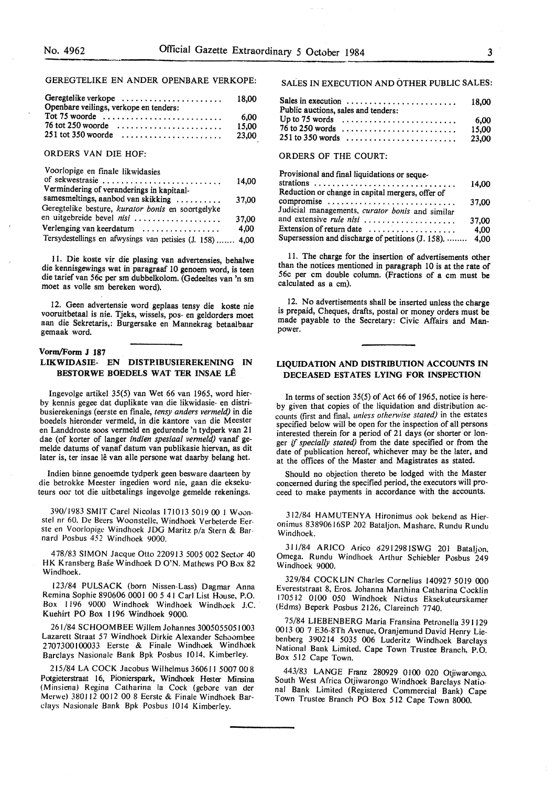# GEREGTELIKE EN ANDER OPENBARE VERKOPE:

| Geregtelike verkope<br>Openbare veilings, verkope en tenders:           | 18.00 |
|-------------------------------------------------------------------------|-------|
| Tot 75 woorde $\ldots \ldots \ldots \ldots \ldots \ldots \ldots \ldots$ | 6.00  |
| $76$ tot 250 woorde $\ldots \ldots \ldots \ldots \ldots \ldots$         | 15.00 |
|                                                                         | 23.00 |

## ORDERS VAN DIE HOF:

| Voorlopige en finale likwidasies                          |       |
|-----------------------------------------------------------|-------|
| of sekwestrasie                                           | 14.00 |
| Vermindering of veranderings in kapitaal-                 |       |
| samesmeltings, aanbod van skikking                        | 37,00 |
| Geregtelike besture, kurator bonis en soortgelyke         |       |
| en uitgebreide bevel nisi                                 | 37,00 |
| Verlenging van keerdatum                                  | 4.00  |
| Tersydestellings en afwysings van petisies (J. 158)  4,00 |       |

11. Die koste vir die plasing van advertensies, behalwe die kennisgewings wat in paragraaf 10 genoem word, is teen die tarief van 56c per sm dubbelkolom. (Gedeeltes van 'n sm moet as voile sm bereken word).

12. Geen advertensie word geplaas tensy die koste nie vooruitbetaal is nie. Tjeks, wissels, pos- en geldorders moet aan die Sekretaris,: Burgersake en Mannekrag betaalbaar gemaak word.

### **Vorm/Form J 187 LIKWIDASIE- EN DISTRIBUSIEREKENING IN**

# **BESTORWE BOEDELS WAT TER INSAE LE**

Ingevolge artikel 35(5) van Wet 66 van 1965, word hierby kennis gegee dat duplikate van die likwidasie- en distribusierekenings (eerste en finale, *tensy anders vermeld)* m die boedels hieronder vermeld, in die kantore van die Meester en Landdroste soos vermeld en gedurende 'n tydperk van 21 dae (of korter of !anger *indien spesiaal vermeld)* vanaf gemelde datums of vanaf datum van publikasie hiervan, as dit later is, ter insae lê van alle persone wat daarby belang het.

Indien binne genoemde tydperk geen besware daarteen by die betrokke Meester ingedien word nie, gaan die eksekuteurs oor tot die uitbctalings ingevolge gemelde rekenings.

390/1983 SMIT Carel Nicolas 171013 5019 00 I Woonstel nr 60. De Beers Woonstelle. Windhoek Verbeterde Eerste en Voorlopigc Windhoek JOG Maritz p/a Stern & Barnard Posbus 452 Windhoek 9000.

478/83 SIMON Jacque Otto 220913 5005 002 Sector 40 HK Kransberg Base Windhoek D O'N. Mathews PO Box 82 Windhoek.

I 23/84 PULSACK (born Nissen-Lass) Dagmar Anna Remina Sophie 890606 0001 00 *5* 41 Carl List House, P.O. Box 1196 9000 Windhoek Windhoek Windhoek J.C. Kuehirt PO Box 1196 Windhoek 9000.

261/84 SCHOOMBEE Willem Johannes 3005055051003 Lazarett Straat 57 Windhoek Dirkie Alexander Schoombee 2707300100033 Eerste & Finale Windhoek Windhoek Barclays Nasionale Bank Bpk Posbus 1014, Kimberley.

215/84 LA COCK Jacobus Wilhelmus 360611 5007 008 Potgieterstraat 16, Pionierspark, Windhoek Hester Minsina (Minsiena) Regina Catharina la Cock (gebore van der Merwe) 380112 0012 00 8 Eerste & Finale Windhoek Barclays Nasionale Bank Bpk Posbus IO 14 Kimberley.

# SALES IN EXECUTION AND OTHER PUBLIC SALES:

| Sales in execution<br>Public auctions, sales and tenders:                                     | 18.00           |
|-----------------------------------------------------------------------------------------------|-----------------|
| Up to 75 words $\ldots \ldots \ldots \ldots \ldots \ldots \ldots \ldots$<br>$76$ to 250 words | - 6.00<br>15.00 |
|                                                                                               |                 |

# ORDERS OF THE COURT:

| Provisional and final liquidations or seque-            |       |
|---------------------------------------------------------|-------|
| strations                                               | 14.00 |
| Reduction or change in capital mergers, offer of        |       |
| compromise                                              | 37.00 |
| Judicial managements, curator bonis and similar         |       |
| and extensive rule nisi                                 | 37.00 |
| Extension of return date                                | 4.00  |
| Supersession and discharge of petitions (J. 158).  4,00 |       |

11. The charge for the insertion of advertisements other than the notices mentioned in paragraph 10 is at the rate of 56c per cm double column. (Fractions of a cm must be calculated as a cm).

12. No advertisements shall be inserted unless the charge is prepaid, Cheques, drafts, postal or money orders must be made payable to the Secretary: Civic Affairs and Manpower.

# **LIQUIDATION AND DISTRIBUTION ACCOUNTS IN DECEASED ESTATES LYING FOR INSPECTION**

In terms of section 35(5) of Act 66 of 1965, notice is hereby given that copies of the liquidation and distribution accounts (first and final, *unless otherwise stated)* in the estates specified below will be open for the inspection of all persons interested therein for a period of 21 days (or shorter or longer if *specially stated)* from the date specified or from the date of publication hereof, whichever may be the later, and at the offices of the Master and Magistrates as stated.

Should no objection thereto be lodged with the Master concerned during the specified period, the executors will proceed to make payments in accordance with the accounts.

312/84 HAMUTENYA Hironimus ook bekend as Hieronimus 83890616SP 202 Bataljon. Mashare, Rundu Rundu Windhoek.

311/84 ARICO Arico 62912981SWG 201 Bataljon, Omega. Rundu Windhoek Arthur Schiebler Posbus 249 Windhoek 9000.

329/84 COCKLIN Charles Cornelius 140927 5019 000 Evereststraat 8, Eros. Johanna Marthina Catharina Cocklin 170512 OJOO 050 Windhoek Nictus Eksekuteurskamer (Edms) Beperk Posbus 2126, Clareinch 7740.

75/84 LIEBENBERG Maria Fransina Petronella 391129 0013 00 7 E36-8Th Avenue, Oranjemund David Henry Liebenberg 390214 5035 006 Luderitz Windhoek Barclays National Bank Limited, Cape Town Trustee Branch, P.O. Box 512 Cape Town.

443/83 LANGE Franz 280929 0100 020 Otjiwarongo, South West Africa Otjiwarongo Windhoek Barclays National Bank Limited (Registered Commercial Bank) Cape Town Trustee Branch PO Box 512 Cape Town 8000.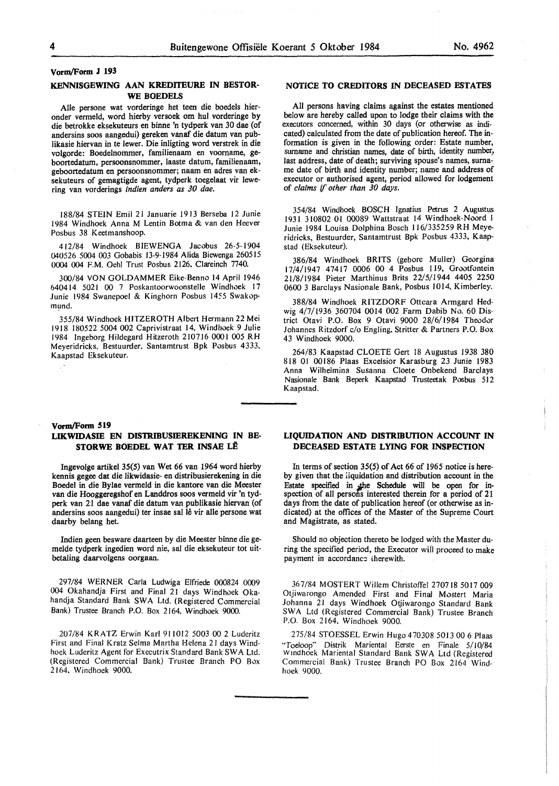### **Vorm/Form J 193**

## **KENNISGEWING AAN KREDITEURE IN BESTOR-WE BOEDELS**

Aile persone wat vorderinge het teen die boedels hieronder vermeld, word hierby versoek om hul vorderinge by die betrokke eksekuteurs en binne 'n tydperk van 30 dae (of andersins soos aangedui) gereken vanaf die datum van publikasie hiervan in te lewer. Die inligting word verstrek in die volgorde: Boedelnommer, familienaam en voomame, geboortedatum, persoonsnommer, Jaaste datum, familienaam, geboortedatum en persoonsnommer; naam en adres van eksekuteurs of gemagtigde agent, tydperk toegelaat vir lewering van vorderings *indien anders as 30 dae.* 

188/84 STEIN Emil 21 Januarie 1913 Berseba 12 Junie 1984 Windhoek Anna M Lentin Botma & van den Heever Posbus 38 Keetmanshoop.

412/84 Windhoek BIEWENGA Jacobus 26-5-1904 040526 5004 003 Gobabis 13-9-1984 Alida Biewenga 260515 0004 004 F.M. Oehl Trust Posbus 2126, Clareinch 7740.

300/84 VON GOLDAMMER Eike-Benno 14 April 1946 640414 5021 00 7 Poskantoorwoonstelle Windhoek 17 Junie 1984 Swanepoel & Kinghorn Posbus 1455 Swakopmund.

355/84 Windhoek HITZEROTH Albert Hermann 22 Mei 1918 180522 5004 002 Caprivistraat 14, Windhoek 9 Julie 1984 Ingeborg Hildegard Hitzeroth 210716 0001 005 RH Meyeridricks, Bestuurder, Santamtrust Bpk Posbus 4333, Kaapstad Eksekuteur.

# **NOTICE TO CREDITORS** IN **DECEASED ESTATES**

All persons having claims against the estates mentioned below are hereby called upon to lodge their claims with the executors concerned, within 30 days (or otherwise as indicated) calculated from the date of publication hereof. The information is given in the following order: Estate number, surname and christian names, date of birth. identity number; last address, date of death; surviving spouse's names, surname date of birth and identity number; name and address of executor or authorised agent, period allowed for lodgement of *claims* if *other than 30 days.* 

354/84 Windhoek BOSCH Ignatius Petrus 2 Augustus 1931 310802 01 00089 Wattstraat 14 Windhoek-Noord l Junie 1984 Louisa Dolphina Bosch l 16/335259 RH Meyeridricks, Bestuurder, Santamtrust Bpk Posbus 4333, Kaapstad (Eksekuteur).

386/84 Windhoek BRITS (gebore Muller) Georgina 17/4/1947 47417 0006 00 4 Posbus 119, Grootfontein 21/8/1984 Pieter Marthinus Brits 22/5/1944 4405 2250 0600 3 Barclays Nasionale Bank, Posbus 1014, Kimberley.

388/84 Windhoek **RITZDORF** Ottcara Armgard Hedwig 4/7/1936 360704 0014 002 Farm Dabib No. 60 District Otavi P.O. Box 9 Otavi 9000 28/6/1984 Theodor Johannes Ritzdorf c/o Engling, Stritter & Partners P.O. Box 43 Windhoek 9000.

264/83 Kaapstad CLOETE Gert 18 Augustus 1938 380 818 01 00186 Plaas Excelsior Karasburg 23 Junie 1983 Anna Wilhelmina Susanna Cloete Onbekend Barclays Nasionale Bank Beperk Kaapstad Trusteetak Posbus 512 Kaapstad.

## **Vorm/Form 519**

# **LIKWIDASIE EN DISTRIBUSIEREKENING IN BE-STORWE BOEDEL WAT TER INSAE LÊ**

Ingevolge artikel 35(5) van Wet 66 van 1964 word hierby kennis gegee dat die likwidasie- en distribusierekening in die Boedel in die Bylae vermeld in die kantore van die Meester van die Hooggeregshof en Landdros soos vermeld vir 'n tydperk van 21 dae vanaf die datum van publikasie hiervan (of andersins soos aangedui) ter insae sal lê vir alle persone wat daarby belang het.

Indien geen besware daarteen by die Meester binne die gemelde tydperk ingedien word nie, sal die eksekuteur tot uitbetaling daarvolgens oorgaan.

297/84 WERNER Carla Ludwiga Elfriede 000824 0009 004 Okahandja First and Final 21 days Windhoek Okahandja Standard Bank SWA Ltd. (Registered Commercial Bank) Trustee Branch P.O. Box 2164, Windhoek 9000.

207/84 KRATZ Erwin Karl 911012 5003 00 2 Luderitz First and Final Kratz Selma Martha Helena 2 I days Windhoek Luderitz Agent for Executrix Standard Bank SWA Ltd. (Registered Commercial Bank) Trustee Branch PO Box 2164, Windhoek 9000.

# **LIQUIDATION AND DISTRIBUTION ACCOUNT IN DECEASED ESTATE LYING FOR INSPECTION**

In terms of section 35(5) of Act 66 of 1965 notice is hereby given that the liquidation and distribution account in the Estate specified in the Schedule will be open for inspection of all persons interested therein for a period of 21 days from the date of publication hereof (or otherwise as indicated) at the offices of the Master of the Supreme Court and Magistrate, as stated.

Should no objection thereto be lodged with the Master during the specified period, the Executor wiil proceed to make payment in accordancz iherewith.

367/84 MOSTERT Willem Christoffel 270718 5017 009 Otjiwarongo Amended First and Final Mostert Maria Johanna 21 days Windhoek Otjiwarongo Standard Bank SWA Ltd (Registered Commercial Bank) Trustee Branch P.O. Box 2164, Windhoek 9000.

275/84 STOESSEL Erwin Hugo 4 70308 5013 00 6 Plaas 'Toeloop" Distrik Mariental Eerste en Finale 5/l0/84 Windhoek Mariental Standard Bank SWA Ltd (Registered Commercial Bank) Trustee Branch PO Box 2164 Windhoek 9000.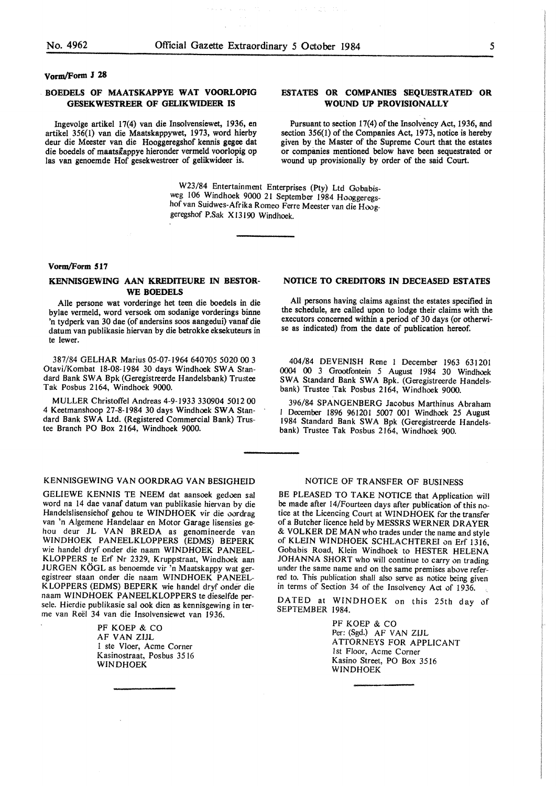## vorm/Form **J 28**

# **BOEDELS OF MAATSKAPPYE WAT VOORLOPIG GESEKWESTREER OF GELIKWIDEER IS**

Ingevolge artikel 17(4) van die Insolvensiewet, 1936, en artikel 356(1) van die Maatskappywet, 1973, word hierby deur die Meester van die Hooggeregshof kennis gegee dat die boedels of maatslappye hieronder vermeld voorlopig op las van genoemde Hof gesekwestreer of gelikwideer is.

# **ESTATES OR COMPANIES SEQUESTRATED· OR WOUND UP PROVISIONALLY**

Pursuant to section 17(4) of the Insolvency Act, 1936, and section 356(1) of the Companies Act, 1973, notice is hereby given by the Master of the Supreme Court that the estates or companies mentioned below have been sequestrated or wound up provisionally by order of the said Court.

W23/84 Entertainment Enterprises (Pty) Ltd Gobabisweg 106 Windhoek 9000 21 September 1984 Hooggeregshof van Suidwes-Afrika Romeo Ferre Meester van die Hooggeregshof P.Sak Xl3190 Windhoek.

#### **Vorm/Form 517**

## **KENNISGEWING AAN KREDITEURE IN BESTOR-WE BOEDELS**

Aile persone wat vorderinge het teen die boedels in die bylae vermeld, word versoek om sodanige vorderings binne 'n tydperk van 30 dae (of andersins soos aangedui) vanaf die datum van publikasie hiervan by die betrokke eksekuteurs in te lewer.

387/84 GELHAR Marius 05-07-1964 640705 5020 00 3 Otavi/Kombat 18-08-1984 30 days Windhoek SWA Standard Bank SWA Bpk (Geregistreerde Handelsbank) Trustee Tak Posbus 2164, Windhoek 9000.

MULLER Christoffel Andreas 4-9-1933 330904 5012 00 4 Keetmanshoop 27-8-1984 30 days Windhook SWA Standard Bank **SW A** Ltd. (Registered Commercial Bank) Trustee Branch PO Box 2164, Windhoek 9000.

### KENNISGEWING VAN OORDRAG VAN BESIGHEID

GELIEWE KENNIS TE NEEM dat aansoek gedoen sal word na 14 dae vanaf datum van publikasie hiervan by die Handelslisensiehof gehou te WINDHOEK vir die oordrag van 'n Algemene Handelaar en Motor Garage Iisensies gehou deur JL VAN BREDA as genomineerde van WINDHOEK PANEELKLOPPERS (EDMS) BEPERK wie handel dryf onder die naam WINDHOEK PANEEL-KLOPPERS te Erf Nr 2329, Kruppstraat, Windhoek aan JURGEN KÖGL as benoemde vir 'n Maatskappy wat geregistreer staan onder die naam WINDHOEK PANEEL-K LOPPERS (EDMS) BEPERK wie handel dryf onder die naam WINDHOEK PANEELKLOPPERS te dieselfde persele. Hierdie publikasie sal ook dien as kennisgewing in terme van Reel 34 van die Insolvensiewet van 1936.

> PF KOEP & CO AF VAN ZIJL l ste Vloer, Acme Corner Kasinostraat, Posbus 3516 WINDHOEK

## **NOTICE TO CREDITORS IN DECEASED ESTATES**

All persons having claims against the estates specified in the schedule, are called upon to lodge their claims with the executors concerned within a period of 30 days (or otherwise as indicated) from the date of publication hereof.

404/84 DEVENISH Rene I December 1963 631201 0004 **00** 3 Grootfontein *5* August 1984 30 Windhoek SWA Standard Bank SWA Bpk. (Geregistreerde Handelsbank) Trustee Tak Posbus 2164, Windhoek 9000.

396/84 SPANGENBERG Jacobus Marthinus Abraham I December 1896 961201 5007 001 Windhoek 25 August 1984 Standard Bank SWA Bpk (Geregistreerde Handelsbank) Trustee Tak Posbus 2164, Windhoek 900.

# NOTICE OF TRANSFER OF BUSINESS

BE PLEASED TO TAKE NOTICE that Application will be made after 14/Fourteen days after publication of this notice at the Licencing Court at WINDHOEK for the transfer of a Butcher licence held by MESSRS WERNER DRAYER & VOLKER DE MAN who trades under the name and style of KLEIN WINDHOEK SCHLACHTEREI on Erf 1316, Gobabis Road, Klein Windhoek to HESTER HELENA JOHANNA SHORT who will continue to carry on trading under the same name and on the same premises above referred to. This publication shall also serve as notice being given in terms of Section 34 of the Insolvency Act of 1936.

DATED at WINDHOEK on this 25th day of SEPTEMBER 1984.

> PF KOEP & CO Per: (Sgd.) AF VAN ZIJL ATTORNEYS FOR APPLICANT 1st Floor, Acme Corner Kasino Street, PO Box 3516 WINDHOEK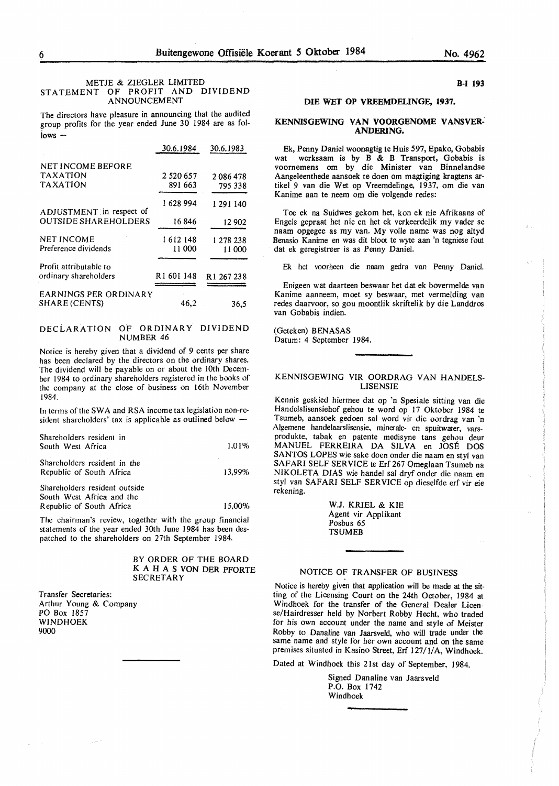#### METJE & ZIEGLER LIMITED STATEMENT OF PROFIT AND DIVIDEND ANNOUNCEMENT

The directors have pleasure in announcing that the audited group profits for the year ended June 30 1984 are as fol $i<sub>o</sub>$  iows  $-$ 

|                              | 30.6.1984              | 30.6.1983              |
|------------------------------|------------------------|------------------------|
| <b>NET INCOME BEFORE</b>     |                        |                        |
| <b>TAXATION</b>              | 2 520 657              | 2086478                |
| <b>TAXATION</b>              | 891 663                | 795 338                |
| ADJUSTMENT in respect of     | 1628994                | 1 29 1 1 4 0           |
| <b>OUTSIDE SHAREHOLDERS</b>  | 16846                  | 12 902                 |
| <b>NET INCOME</b>            | 1 612 148              | 1 278 238              |
| Preference dividends         | 11 000                 | 11 000                 |
| Profit attributable to       |                        |                        |
| ordinary shareholders        | R <sub>1</sub> 601 148 | R <sub>1</sub> 267 238 |
| <b>EARNINGS PER ORDINARY</b> |                        |                        |
| SHARE (CENTS)                | 46,2                   | 36,5                   |

## DECLARATION OF ORDINARY DIVIDEND NUMBER 46

Notice is hereby given that a dividend of 9 cents per share has been declared by the directors on the ordinary shares. The dividend will be payable on or about the 10th December 1984 to ordinary shareholders registered in the books of the company at the close of business on 16th November 1984.

In terms of the **SW A** and **RSA** income tax legislation non-resident shareholders' tax is applicable as outlined below

| Shareholders resident in<br>South West Africa              | 1.01%  |
|------------------------------------------------------------|--------|
| Shareholders resident in the<br>Republic of South Africa   | 13.99% |
| Shareholders resident outside<br>South West Africa and the |        |
| Republic of South Africa                                   | 15,00% |

The chairman's review, together with the group financial statements of the year ended 30th June I 984 has been despatched to the shareholders on 27th September 1984.

#### BY ORDER OF THE BOARD K A H A S VON DER PFORTE **SECRETARY**

Transfer Secretaries: Arthur Young & Company PO Box 1857 WINDHOEK 9000

## **B-I 193**

## **DIE WET OP VREEMDELINGE, 1937.**

#### **KENNISGEWING VAN VOORGENOME VANSVER: ANDERING.**

Ek, Penny Daniel woonagtig te Huis 597, Epako, Gobabis wat werksaam is by B & B Transport, Gobabis is voornemens om by die Minister van Binnelandse Aangeleenthede aansoek te doen om magtiging kragtens artikel 9 van die Wet op Vreemdelinge, 1937, om die van Kanime aan te neem om die volgende redes:

Toe ek na Suidwes gekom het, kon ek nie Afrikaans of Engels gepraat het nie en het ek verkeerdelik my vader se naam opgegee as my van. My voile name was nog altyd Benasio Kanime en was dit bloot te wyte aan 'n tegniese fout dat ek geregistreer is as Penny Daniel.

Ek het voorheen die naam gedra van Penny Daniel.

Enigeen wat daarteen beswaar het dat ek bovermelde van Kanime aanneem, moet sy beswaar, met vermelding van redes daarvoor, so gou moontlik skriftelik by die Landdros van Gobabis indien.

(Geteken) BENASAS Datum: 4 September 1984.

#### KENNISGEWING **VIR OORDRAG VAN HANDELS-LISENSIE**

Kennis geskied hiermee dat op 'n Spesiale sitting van die Handelslisensiehof gehou te word op 17 Oktober 1984 te Tsumeb, aansoek gedoen sal word vir die oordrag van 'n Algemene handelaarslisensie, minerale- en spuitwater, varsprodukte, tabak en patente medisyne tans gehou deur MANUEL FERREIRA DA SILVA en JOSE DOS SANTOS LOPES wie sake doen onder die naam en sty! van SAFARI SELF SERVICE te Erf 267 Omeglaan Tsumeb na NIKOLETA DIAS wie handel sal dryf onder die naam en sty! van SAFARI SELF SERVICE op dieselfde erf vir eie rekening.

> W.J. KRIEL & KIE Agent vir Applikant Posbus 65 **TSUMEB**

#### NOTICE OF TRANSFER OF BUSINESS

Notice is hereby given that application will be made at the sitting of the Licensing Court on the 24th October, 1984 at Windhoek for the transfer of the General Dealer License/Hairdresser held by Norbert Robby Hecht, who traded for his own account under the name and style of Meister Robby to Danaline van Jaarsveld, who will trade under the same name and style for her own account and on the same premises situated in Kasino Street, Erf 127/1/A, Windhoek.

Dated at Windhoek this 21st day of September, 1984.

Signed Danaline van Jaarsveld P.O. Box 1742 Windhoek